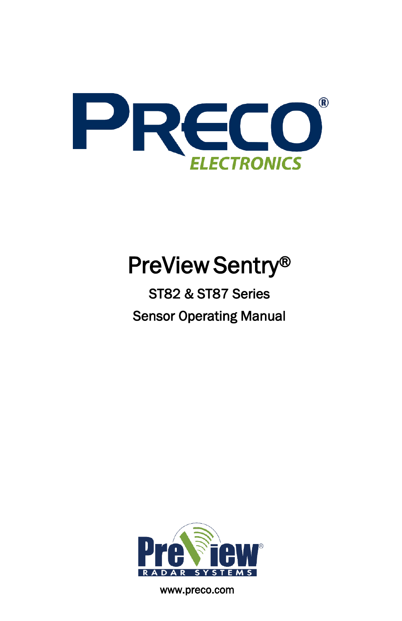

# PreView Sentry®

# ST82 & ST87 Series Sensor Operating Manual



www.preco.com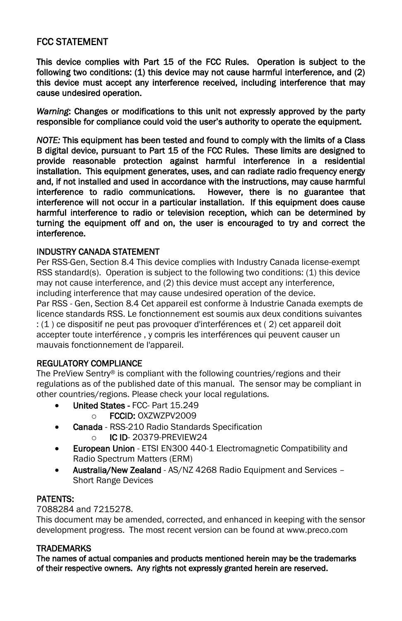#### FCC STATEMENT

This device complies with Part 15 of the FCC Rules. Operation is subject to the following two conditions: (1) this device may not cause harmful interference, and (2) this device must accept any interference received, including interference that may cause undesired operation.

*Warning*: Changes or modifications to this unit not expressly approved by the party responsible for compliance could void the user's authority to operate the equipment.

*NOTE:* This equipment has been tested and found to comply with the limits of a Class B digital device, pursuant to Part 15 of the FCC Rules. These limits are designed to provide reasonable protection against harmful interference in a residential installation. This equipment generates, uses, and can radiate radio frequency energy and, if not installed and used in accordance with the instructions, may cause harmful interference to radio communications. However, there is no guarantee that interference will not occur in a particular installation. If this equipment does cause harmful interference to radio or television reception, which can be determined by turning the equipment off and on, the user is encouraged to try and correct the interference.

#### INDUSTRY CANADA STATEMENT

Per RSS-Gen, Section 8.4 This device complies with Industry Canada license-exempt RSS standard(s). Operation is subject to the following two conditions: (1) this device may not cause interference, and (2) this device must accept any interference, including interference that may cause undesired operation of the device.

Par RSS - Gen, Section 8.4 Cet appareil est conforme à Industrie Canada exempts de licence standards RSS. Le fonctionnement est soumis aux deux conditions suivantes : (1 ) ce dispositif ne peut pas provoquer d'interférences et ( 2) cet appareil doit accepter toute interférence , y compris les interférences qui peuvent causer un mauvais fonctionnement de l'appareil.

#### REGULATORY COMPLIANCE

The PreView Sentry® is compliant with the following countries/regions and their regulations as of the published date of this manual. The sensor may be compliant in other countries/regions. Please check your local regulations.

- United States FCC- Part 15.249
	- o **FCCID: OXZWZPV2009**
- Canada RSS-210 Radio Standards Specification o IC ID- 20379-PREVIEW24
- **European Union** ETSI EN300 440-1 Electromagnetic Compatibility and Radio Spectrum Matters (ERM)
- Australia/New Zealand AS/NZ 4268 Radio Equipment and Services Short Range Devices

#### PATENTS:

7088284 and 7215278.

This document may be amended, corrected, and enhanced in keeping with the sensor development progress. The most recent version can be found at www.preco.com

#### **TRADEMARKS**

The names of actual companies and products mentioned herein may be the trademarks of their respective owners. Any rights not expressly granted herein are reserved.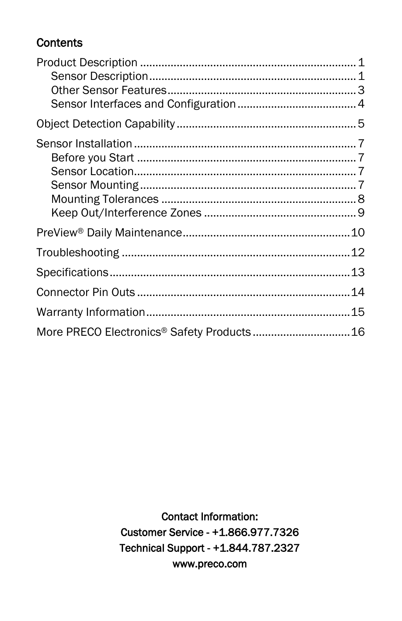# **Contents**

**Contact Information:** Customer Service - +1.866.977.7326 Technical Support - +1.844.787.2327 www.preco.com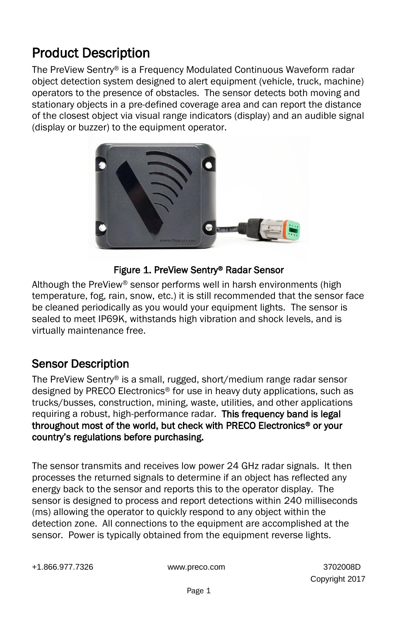# <span id="page-6-0"></span>Product Description

The PreView Sentry® is a Frequency Modulated Continuous Waveform radar object detection system designed to alert equipment (vehicle, truck, machine) operators to the presence of obstacles. The sensor detects both moving and stationary objects in a pre-defined coverage area and can report the distance of the closest object via visual range indicators (display) and an audible signal (display or buzzer) to the equipment operator.



#### Figure 1. PreView Sentry® Radar Sensor

<span id="page-6-2"></span>Although the PreView® sensor performs well in harsh environments (high temperature, fog, rain, snow, etc.) it is still recommended that the sensor face be cleaned periodically as you would your equipment lights. The sensor is sealed to meet IP69K, withstands high vibration and shock levels, and is virtually maintenance free.

# <span id="page-6-1"></span>Sensor Description

The PreView Sentry® is a small, rugged, short/medium range radar sensor designed by PRECO Electronics® for use in heavy duty applications, such as trucks/busses, construction, mining, waste, utilities, and other applications requiring a robust, high-performance radar. This frequency band is legal throughout most of the world, but check with PRECO Electronics® or your country's regulations before purchasing.

The sensor transmits and receives low power 24 GHz radar signals. It then processes the returned signals to determine if an object has reflected any energy back to the sensor and reports this to the operator display. The sensor is designed to process and report detections within 240 milliseconds (ms) allowing the operator to quickly respond to any object within the detection zone. All connections to the equipment are accomplished at the sensor. Power is typically obtained from the equipment reverse lights.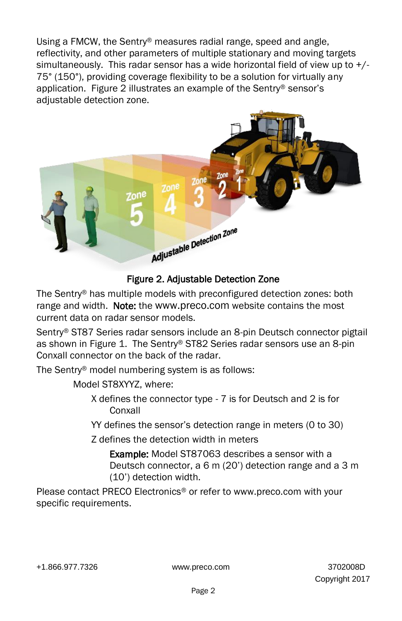Using a FMCW, the Sentry® measures radial range, speed and angle, reflectivity, and other parameters of multiple stationary and moving targets simultaneously. This radar sensor has a wide horizontal field of view up to  $+/-$ 75° (150°), providing coverage flexibility to be a solution for virtually any application. [Figure 2](#page-7-0) illustrates an example of the Sentry® sensor's adjustable detection zone.



## Figure 2. Adjustable Detection Zone

<span id="page-7-0"></span>The Sentry® has multiple models with preconfigured detection zones: both range and width. Note: the www[.preco.com](http://www.previewradar.com/) website contains the most current data on radar sensor models.

Sentry® ST87 Series radar sensors include an 8-pin Deutsch connector pigtail as shown in [Figure 1.](#page-6-2) The Sentry® ST82 Series radar sensors use an 8-pin Conxall connector on the back of the radar.

The Sentry® model numbering system is as follows:

Model ST8XYYZ, where:

- X defines the connector type 7 is for Deutsch and 2 is for Conxall
- YY defines the sensor's detection range in meters (0 to 30)
- Z defines the detection width in meters

Example: Model ST87063 describes a sensor with a Deutsch connector, a 6 m (20') detection range and a 3 m (10') detection width.

Please contact PRECO Electronics® or refer to www.preco.com with your specific requirements.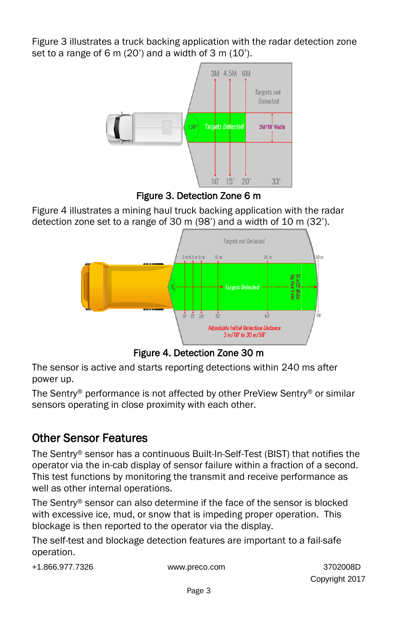[Figure 3](#page-8-1) illustrates a truck backing application with the radar detection zone set to a range of 6 m  $(20')$  and a width of 3 m  $(10')$ .



Figure 3. Detection Zone 6 m

<span id="page-8-1"></span>[Figure 4](#page-8-2) illustrates a mining haul truck backing application with the radar detection zone set to a range of 30 m (98') and a width of 10 m (32').



Figure 4. Detection Zone 30 m

<span id="page-8-2"></span>The sensor is active and starts reporting detections within 240 ms after power up.

The Sentry® performance is not affected by other PreView Sentry® or similar sensors operating in close proximity with each other.

# <span id="page-8-0"></span>Other Sensor Features

The Sentry® sensor has a continuous Built-In-Self-Test (BIST) that notifies the operator via the in-cab display of sensor failure within a fraction of a second. This test functions by monitoring the transmit and receive performance as well as other internal operations.

The Sentry® sensor can also determine if the face of the sensor is blocked with excessive ice, mud, or snow that is impeding proper operation. This blockage is then reported to the operator via the display.

The self-test and blockage detection features are important to a fail-safe operation.

+1.866.977.7326 www.preco.com 3702008D

Copyright 2017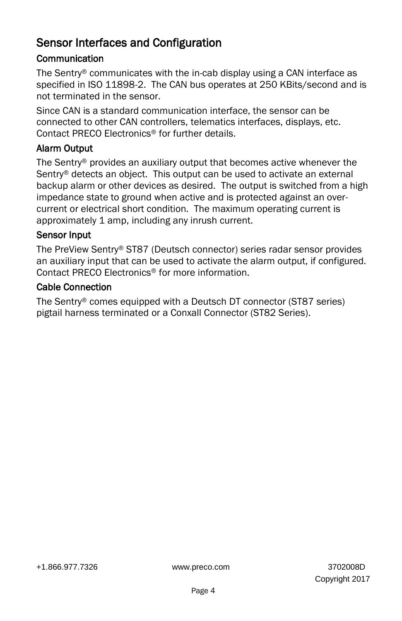# <span id="page-9-0"></span>Sensor Interfaces and Configuration

## **Communication**

The Sentry® communicates with the in-cab display using a CAN interface as specified in ISO 11898-2. The CAN bus operates at 250 KBits/second and is not terminated in the sensor.

Since CAN is a standard communication interface, the sensor can be connected to other CAN controllers, telematics interfaces, displays, etc. Contact PRECO Electronics® for further details.

## Alarm Output

The Sentry® provides an auxiliary output that becomes active whenever the Sentry<sup>®</sup> detects an object. This output can be used to activate an external backup alarm or other devices as desired. The output is switched from a high impedance state to ground when active and is protected against an overcurrent or electrical short condition. The maximum operating current is approximately 1 amp, including any inrush current.

#### Sensor Input

The PreView Sentry® ST87 (Deutsch connector) series radar sensor provides an auxiliary input that can be used to activate the alarm output, if configured. Contact PRECO Electronics® for more information.

#### Cable Connection

The Sentry® comes equipped with a Deutsch DT connector (ST87 series) pigtail harness terminated or a Conxall Connector (ST82 Series).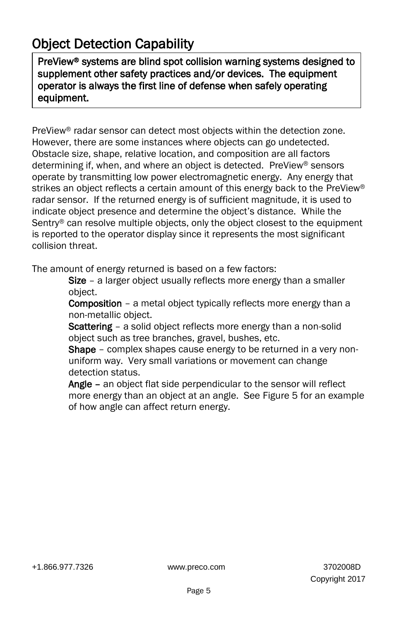# <span id="page-10-0"></span>Object Detection Capability

PreView® systems are blind spot collision warning systems designed to supplement other safety practices and/or devices. The equipment operator is always the first line of defense when safely operating equipment.

PreView® radar sensor can detect most objects within the detection zone. However, there are some instances where objects can go undetected. Obstacle size, shape, relative location, and composition are all factors determining if, when, and where an object is detected. PreView® sensors operate by transmitting low power electromagnetic energy. Any energy that strikes an object reflects a certain amount of this energy back to the PreView® radar sensor. If the returned energy is of sufficient magnitude, it is used to indicate object presence and determine the object's distance. While the Sentry® can resolve multiple objects, only the object closest to the equipment is reported to the operator display since it represents the most significant collision threat.

The amount of energy returned is based on a few factors:

Size – a larger object usually reflects more energy than a smaller object.

**Composition** – a metal object typically reflects more energy than a non-metallic object.

Scattering - a solid object reflects more energy than a non-solid object such as tree branches, gravel, bushes, etc.

Shape – complex shapes cause energy to be returned in a very nonuniform way. Very small variations or movement can change detection status.

Angle – an object flat side perpendicular to the sensor will reflect more energy than an object at an angle. See [Figure 5](#page-11-0) for an example of how angle can affect return energy.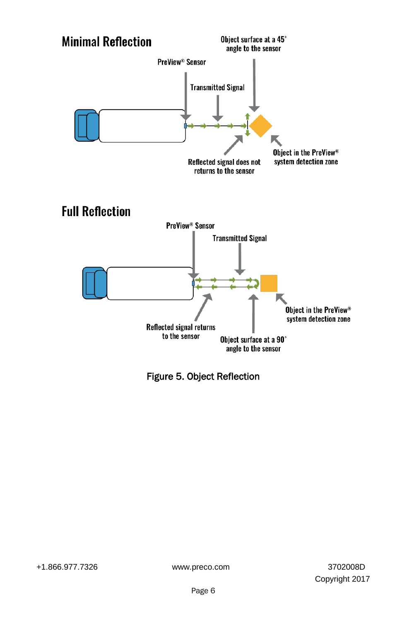

<span id="page-11-0"></span>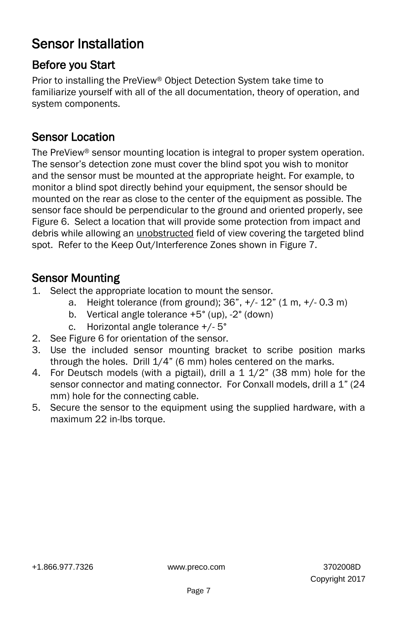# <span id="page-12-0"></span>Sensor Installation

# <span id="page-12-1"></span>Before you Start

Prior to installing the PreView® Object Detection System take time to familiarize yourself with all of the all documentation, theory of operation, and system components.

# <span id="page-12-2"></span>Sensor Location

The PreView® sensor mounting location is integral to proper system operation. The sensor's detection zone must cover the blind spot you wish to monitor and the sensor must be mounted at the appropriate height. For example, to monitor a blind spot directly behind your equipment, the sensor should be mounted on the rear as close to the center of the equipment as possible. The sensor face should be perpendicular to the ground and oriented properly, see [Figure 6.](#page-13-1) Select a location that will provide some protection from impact and debris while allowing an unobstructed field of view covering the targeted blind spot. Refer to the Keep Out/Interference Zones shown in [Figure 7.](#page-14-1)

# <span id="page-12-3"></span>Sensor Mounting

- 1. Select the appropriate location to mount the sensor.
	- a. Height tolerance (from ground); 36", +/- 12" (1 m, +/- 0.3 m)
	- b. Vertical angle tolerance +5° (up), -2° (down)
	- c. Horizontal angle tolerance +/- 5°
- 2. See [Figure 6](#page-13-1) for orientation of the sensor.
- 3. Use the included sensor mounting bracket to scribe position marks through the holes. Drill 1/4" (6 mm) holes centered on the marks.
- 4. For Deutsch models (with a pigtail), drill a 1 1/2" (38 mm) hole for the sensor connector and mating connector. For Conxall models, drill a 1" (24 mm) hole for the connecting cable.
- 5. Secure the sensor to the equipment using the supplied hardware, with a maximum 22 in-lbs torque.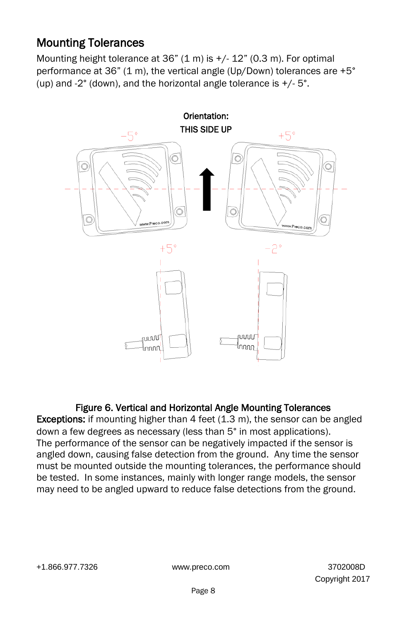# <span id="page-13-0"></span>Mounting Tolerances

Mounting height tolerance at  $36$ " (1 m) is  $+/$ -12" (0.3 m). For optimal performance at 36" (1 m), the vertical angle (Up/Down) tolerances are +5° (up) and  $-2^{\circ}$  (down), and the horizontal angle tolerance is  $+/-5^{\circ}$ .



## Figure 6. Vertical and Horizontal Angle Mounting Tolerances

<span id="page-13-1"></span>**Exceptions:** if mounting higher than  $4$  feet  $(1.3 \text{ m})$ , the sensor can be angled down a few degrees as necessary (less than 5° in most applications). The performance of the sensor can be negatively impacted if the sensor is angled down, causing false detection from the ground. Any time the sensor must be mounted outside the mounting tolerances, the performance should be tested. In some instances, mainly with longer range models, the sensor may need to be angled upward to reduce false detections from the ground.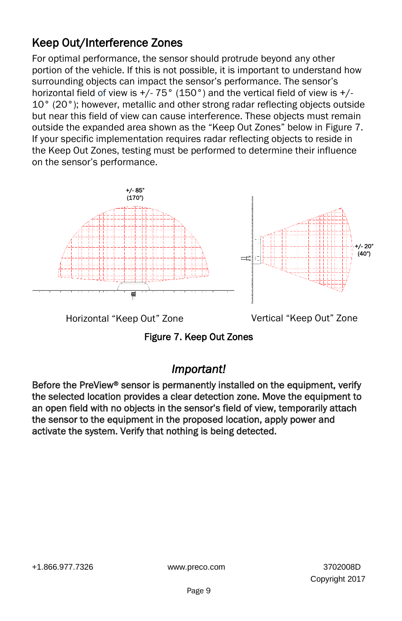# <span id="page-14-0"></span>Keep Out/Interference Zones

For optimal performance, the sensor should protrude beyond any other portion of the vehicle. If this is not possible, it is important to understand how surrounding objects can impact the sensor's performance. The sensor's horizontal field of view is  $+/$ - 75° (150°) and the vertical field of view is  $+/-$ 10° (20°); however, metallic and other strong radar reflecting objects outside but near this field of view can cause interference. These objects must remain outside the expanded area shown as the "Keep Out Zones" below in [Figure 7.](#page-14-1)  If your specific implementation requires radar reflecting objects to reside in the Keep Out Zones, testing must be performed to determine their influence on the sensor's performance.



<span id="page-14-1"></span>Horizontal "Keep Out" Zone Vertical "Keep Out" Zone

Figure 7. Keep Out Zones

# *Important!*

Before the PreView® sensor is permanently installed on the equipment, verify the selected location provides a clear detection zone. Move the equipment to an open field with no objects in the sensor's field of view, temporarily attach the sensor to the equipment in the proposed location, apply power and activate the system. Verify that nothing is being detected.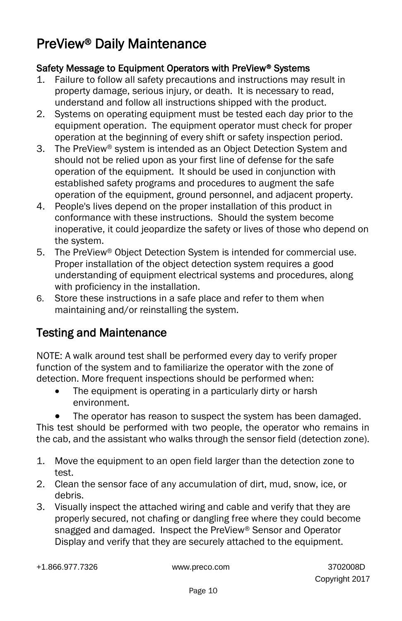# <span id="page-15-0"></span>PreView® Daily Maintenance

## Safety Message to Equipment Operators with PreView® Systems

- 1. Failure to follow all safety precautions and instructions may result in property damage, serious injury, or death. It is necessary to read, understand and follow all instructions shipped with the product.
- 2. Systems on operating equipment must be tested each day prior to the equipment operation. The equipment operator must check for proper operation at the beginning of every shift or safety inspection period.
- 3. The PreView® system is intended as an Object Detection System and should not be relied upon as your first line of defense for the safe operation of the equipment. It should be used in conjunction with established safety programs and procedures to augment the safe operation of the equipment, ground personnel, and adjacent property.
- 4. People's lives depend on the proper installation of this product in conformance with these instructions. Should the system become inoperative, it could jeopardize the safety or lives of those who depend on the system.
- 5. The PreView® Object Detection System is intended for commercial use. Proper installation of the object detection system requires a good understanding of equipment electrical systems and procedures, along with proficiency in the installation.
- 6. Store these instructions in a safe place and refer to them when maintaining and/or reinstalling the system.

# Testing and Maintenance

NOTE: A walk around test shall be performed every day to verify proper function of the system and to familiarize the operator with the zone of detection. More frequent inspections should be performed when:

- The equipment is operating in a particularly dirty or harsh environment.
	- The operator has reason to suspect the system has been damaged.

This test should be performed with two people, the operator who remains in the cab, and the assistant who walks through the sensor field (detection zone).

- 1. Move the equipment to an open field larger than the detection zone to test.
- 2. Clean the sensor face of any accumulation of dirt, mud, snow, ice, or debris.
- 3. Visually inspect the attached wiring and cable and verify that they are properly secured, not chafing or dangling free where they could become snagged and damaged. Inspect the PreView® Sensor and Operator Display and verify that they are securely attached to the equipment.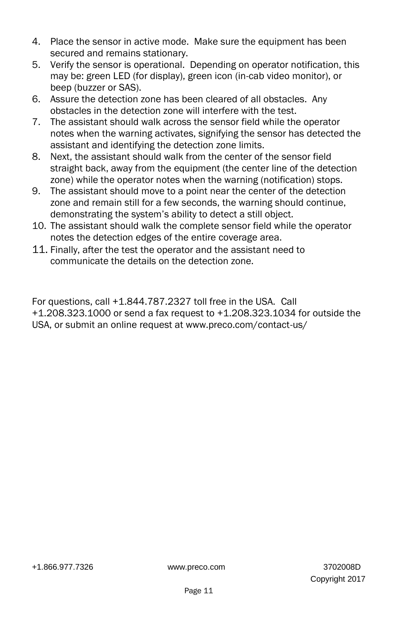- 4. Place the sensor in active mode. Make sure the equipment has been secured and remains stationary.
- 5. Verify the sensor is operational. Depending on operator notification, this may be: green LED (for display), green icon (in-cab video monitor), or beep (buzzer or SAS).
- 6. Assure the detection zone has been cleared of all obstacles. Any obstacles in the detection zone will interfere with the test.
- 7. The assistant should walk across the sensor field while the operator notes when the warning activates, signifying the sensor has detected the assistant and identifying the detection zone limits.
- 8. Next, the assistant should walk from the center of the sensor field straight back, away from the equipment (the center line of the detection zone) while the operator notes when the warning (notification) stops.
- 9. The assistant should move to a point near the center of the detection zone and remain still for a few seconds, the warning should continue, demonstrating the system's ability to detect a still object.
- 10. The assistant should walk the complete sensor field while the operator notes the detection edges of the entire coverage area.
- 11. Finally, after the test the operator and the assistant need to communicate the details on the detection zone.

For questions, call +1.844.787.2327 toll free in the USA. Call +1.208.323.1000 or send a fax request to +1.208.323.1034 for outside the USA, or submit an online request at www.preco.com/contact-us/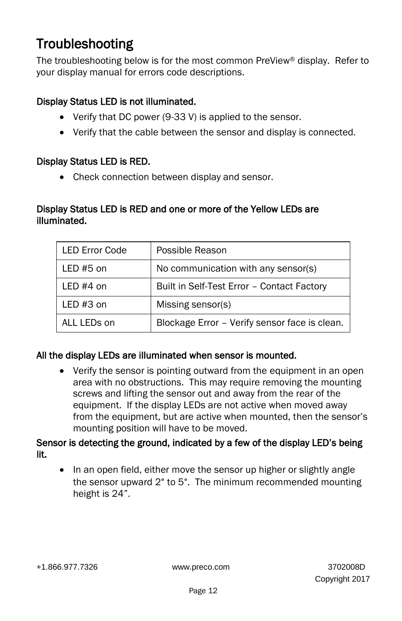# <span id="page-17-0"></span>Troubleshooting

The troubleshooting below is for the most common PreView® display. Refer to your display manual for errors code descriptions.

#### Display Status LED is not illuminated.

- Verify that DC power (9-33 V) is applied to the sensor.
- Verify that the cable between the sensor and display is connected.

#### Display Status LED is RED.

• Check connection between display and sensor.

#### Display Status LED is RED and one or more of the Yellow LEDs are illuminated.

| <b>LED Error Code</b> | Possible Reason                               |
|-----------------------|-----------------------------------------------|
| LED $#5$ on           | No communication with any sensor(s)           |
| LED $#4$ on           | Built in Self-Test Error - Contact Factory    |
| LED $#3$ on           | Missing sensor(s)                             |
| ALL LEDs on           | Blockage Error - Verify sensor face is clean. |

## All the display LEDs are illuminated when sensor is mounted.

 Verify the sensor is pointing outward from the equipment in an open area with no obstructions. This may require removing the mounting screws and lifting the sensor out and away from the rear of the equipment. If the display LEDs are not active when moved away from the equipment, but are active when mounted, then the sensor's mounting position will have to be moved.

#### Sensor is detecting the ground, indicated by a few of the display LED's being lit.

• In an open field, either move the sensor up higher or slightly angle the sensor upward 2° to 5°. The minimum recommended mounting height is 24".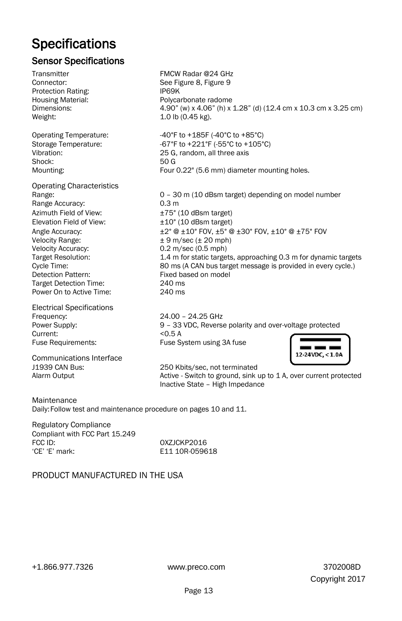# <span id="page-18-0"></span>**Specifications**

### Sensor Specifications

Transmitter FMCW Radar @24 GHz Connector: See [Figure 8,](#page-19-1) [Figure 9](#page-19-2) Protection Rating: **IP69K** Housing Material: Polycarbonate radome Dimensions: 4.90" (w) x 4.06" (h) x 1.28" (d) (12.4 cm x 10.3 cm x 3.25 cm) Weight: 1.0 lb (0.45 kg). Operating Temperature:  $-40^{\circ}$ F to +185F (-40°C to +85°C) Storage Temperature: -67°F to +221°F (-55°C to +105°C)<br>Vibration: -67°C 105°C) 25 G. random. all three axis 25 G, random, all three axis Shock: 50 G Mounting: Four 0.22" (5.6 mm) diameter mounting holes. Operating Characteristics Range: 0 – 30 m (10 dBsm target) depending on model number Range Accuracy: 0.3 m Azimuth Field of View:  $\pm 75^{\circ}$  (10 dBsm target) Elevation Field of View:  $\pm 10^{\circ}$  (10 dBsm target) Angle Accuracy:  $\pm 2^\circ \otimes \pm 10^\circ$  FOV,  $\pm 5^\circ \otimes \pm 30^\circ$  FOV,  $\pm 10^\circ \otimes \pm 75^\circ$  FOV<br>Velocity Range:  $\pm 9$  m/sec ( $\pm 20$  mph)  $± 9$  m/sec ( $± 20$  mph) Velocity Accuracy: 0.2 m/sec (0.5 mph) Target Resolution: 1.4 m for static targets, approaching 0.3 m for dynamic targets Cycle Time: 80 ms (A CAN bus target message is provided in every cycle.) Detection Pattern: Fixed based on model Target Detection Time: 240 ms Power On to Active Time: 240 ms Electrical Specifications Frequency: 24.00 – 24.25 GHz Power Supply: 9 – 33 VDC, Reverse polarity and over-voltage protected Current: <0.5 A Fuse Requirements: Fuse System using 3A fuse 12-24VDC, < 1.0A Communications Interface J1939 CAN Bus: 250 Kbits/sec, not terminated Alarm Output Active - Switch to ground, sink up to 1 A, over current protected Inactive State – High Impedance

Maintenance Daily:Follow test and maintenance procedure on pages 10 and 11.

Regulatory Compliance Compliant with FCC Part 15.249 FCC ID: 0XZJCKP2016<br>
FCE' 'E' mark: CEC CEC CEC CEC CEC CONSIST

E11 10R-059618

#### PRODUCT MANUFACTURED IN THE USA

+1.866.977.7326 www.preco.com 3702008D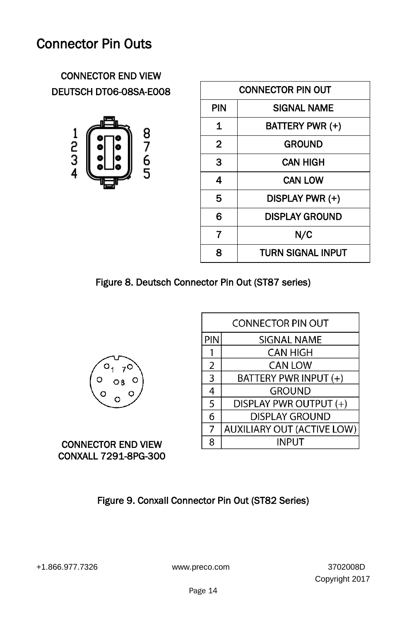# <span id="page-19-0"></span>Connector Pin Outs

# CONNECTOR END VIEW DEUTSCH DT06-08SA-E008



| <b>CONNECTOR PIN OUT</b> |                       |
|--------------------------|-----------------------|
| PIN                      | <b>SIGNAL NAME</b>    |
| 1                        | BATTERY PWR (+)       |
| $\mathbf{2}$             | <b>GROUND</b>         |
| 3                        | <b>CAN HIGH</b>       |
| 4                        | <b>CAN LOW</b>        |
| 5                        | DISPLAY PWR (+)       |
| 6                        | <b>DISPLAY GROUND</b> |
| 7                        | N/C                   |
| Զ                        | TURN SIGNAL INPUT     |

## <span id="page-19-1"></span>Figure 8. Deutsch Connector Pin Out (ST87 series)



|                | CONNECTOR PIN OUT                 |
|----------------|-----------------------------------|
| PIN            | SIGNAL NAME                       |
|                | <b>CAN HIGH</b>                   |
| 2              | <b>CAN LOW</b>                    |
| $\overline{3}$ | BATTERY PWR INPUT (+)             |
| 4              | <b>GROUND</b>                     |
| 5              | DISPLAY PWR OUTPUT (+)            |
| 6              | <b>DISPLAY GROUND</b>             |
| 7              | <b>AUXILIARY OUT (ACTIVE LOW)</b> |
| 8              | INPUT                             |

## <span id="page-19-2"></span>CONNECTOR END VIEW CONXALL 7291-8PG-300

Figure 9. Conxall Connector Pin Out (ST82 Series)

٦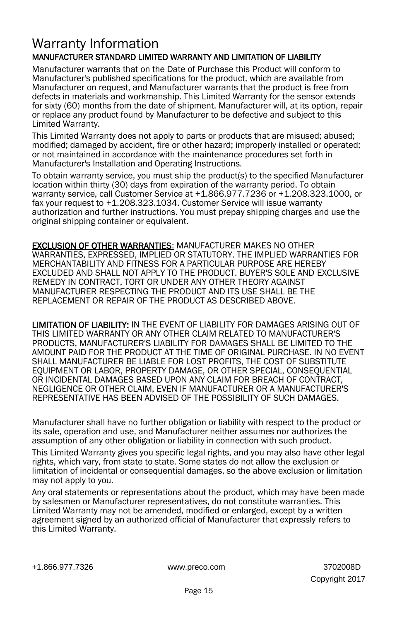## <span id="page-20-0"></span>Warranty Information MANUFACTURER STANDARD LIMITED WARRANTY AND LIMITATION OF LIABILITY

Manufacturer warrants that on the Date of Purchase this Product will conform to Manufacturer's published specifications for the product, which are available from Manufacturer on request, and Manufacturer warrants that the product is free from defects in materials and workmanship. This Limited Warranty for the sensor extends for sixty (60) months from the date of shipment. Manufacturer will, at its option, repair or replace any product found by Manufacturer to be defective and subject to this Limited Warranty.

This Limited Warranty does not apply to parts or products that are misused; abused; modified; damaged by accident, fire or other hazard; improperly installed or operated; or not maintained in accordance with the maintenance procedures set forth in Manufacturer's Installation and Operating Instructions.

To obtain warranty service, you must ship the product(s) to the specified Manufacturer location within thirty (30) days from expiration of the warranty period. To obtain warranty service, call Customer Service at +1.866.977.7236 or +1.208.323.1000, or fax your request to +1.208.323.1034. Customer Service will issue warranty authorization and further instructions. You must prepay shipping charges and use the original shipping container or equivalent.

EXCLUSION OF OTHER WARRANTIES: MANUFACTURER MAKES NO OTHER WARRANTIES, EXPRESSED, IMPLIED OR STATUTORY. THE IMPLIED WARRANTIES FOR MERCHANTABILITY AND FITNESS FOR A PARTICULAR PURPOSE ARE HEREBY EXCLUDED AND SHALL NOT APPLY TO THE PRODUCT. BUYER'S SOLE AND EXCLUSIVE REMEDY IN CONTRACT, TORT OR UNDER ANY OTHER THEORY AGAINST MANUFACTURER RESPECTING THE PRODUCT AND ITS USE SHALL BE THE REPLACEMENT OR REPAIR OF THE PRODUCT AS DESCRIBED ABOVE.

LIMITATION OF LIABILITY: IN THE EVENT OF LIABILITY FOR DAMAGES ARISING OUT OF THIS LIMITED WARRANTY OR ANY OTHER CLAIM RELATED TO MANUFACTURER'S PRODUCTS, MANUFACTURER'S LIABILITY FOR DAMAGES SHALL BE LIMITED TO THE AMOUNT PAID FOR THE PRODUCT AT THE TIME OF ORIGINAL PURCHASE. IN NO EVENT SHALL MANUFACTURER BE LIABLE FOR LOST PROFITS, THE COST OF SUBSTITUTE EQUIPMENT OR LABOR, PROPERTY DAMAGE, OR OTHER SPECIAL, CONSEQUENTIAL OR INCIDENTAL DAMAGES BASED UPON ANY CLAIM FOR BREACH OF CONTRACT, NEGLIGENCE OR OTHER CLAIM, EVEN IF MANUFACTURER OR A MANUFACTURER'S REPRESENTATIVE HAS BEEN ADVISED OF THE POSSIBILITY OF SUCH DAMAGES.

Manufacturer shall have no further obligation or liability with respect to the product or its sale, operation and use, and Manufacturer neither assumes nor authorizes the assumption of any other obligation or liability in connection with such product.

This Limited Warranty gives you specific legal rights, and you may also have other legal rights, which vary, from state to state. Some states do not allow the exclusion or limitation of incidental or consequential damages, so the above exclusion or limitation may not apply to you.

Any oral statements or representations about the product, which may have been made by salesmen or Manufacturer representatives, do not constitute warranties. This Limited Warranty may not be amended, modified or enlarged, except by a written agreement signed by an authorized official of Manufacturer that expressly refers to this Limited Warranty.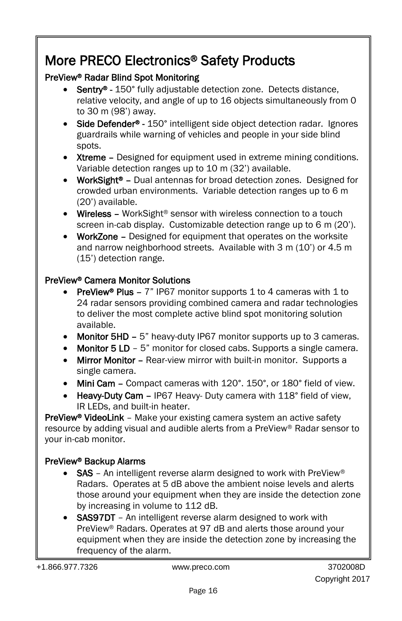# More PRECO Electronics® Safety Products

# PreView® Radar Blind Spot Monitoring

- Sentry® 150° fully adjustable detection zone. Detects distance, relative velocity, and angle of up to 16 objects simultaneously from 0 to 30 m (98') away.
- Side Defender® 150° intelligent side object detection radar. Ignores guardrails while warning of vehicles and people in your side blind spots.
- Xtreme Designed for equipment used in extreme mining conditions. Variable detection ranges up to 10 m (32') available.
- WorkSight<sup>®</sup> Dual antennas for broad detection zones. Designed for crowded urban environments. Variable detection ranges up to 6 m (20') available.
- Wireless WorkSight<sup>®</sup> sensor with wireless connection to a touch screen in-cab display. Customizable detection range up to 6 m (20').
- WorkZone Designed for equipment that operates on the worksite and narrow neighborhood streets. Available with 3 m (10') or 4.5 m (15') detection range.

## PreView® Camera Monitor Solutions

- PreView® Plus  $-7$ " IP67 monitor supports 1 to 4 cameras with 1 to 24 radar sensors providing combined camera and radar technologies to deliver the most complete active blind spot monitoring solution available.
- Monitor 5HD 5" heavy-duty IP67 monitor supports up to 3 cameras.
- Monitor 5 LD 5" monitor for closed cabs. Supports a single camera.
- Mirror Monitor Rear-view mirror with built-in monitor. Supports a single camera.
- Mini Cam Compact cameras with 120°. 150°, or 180° field of view.
- Heavy-Duty Cam IP67 Heavy- Duty camera with 118° field of view. IR LEDs, and built-in heater.

**PreView<sup>®</sup> VideoLink** – Make your existing camera system an active safety resource by adding visual and audible alerts from a PreView® Radar sensor to your in-cab monitor.

# PreView® Backup Alarms

- SAS An intelligent reverse alarm designed to work with PreView® Radars. Operates at 5 dB above the ambient noise levels and alerts those around your equipment when they are inside the detection zone by increasing in volume to 112 dB.
- SAS97DT An intelligent reverse alarm designed to work with PreView® Radars. Operates at 97 dB and alerts those around your equipment when they are inside the detection zone by increasing the frequency of the alarm.